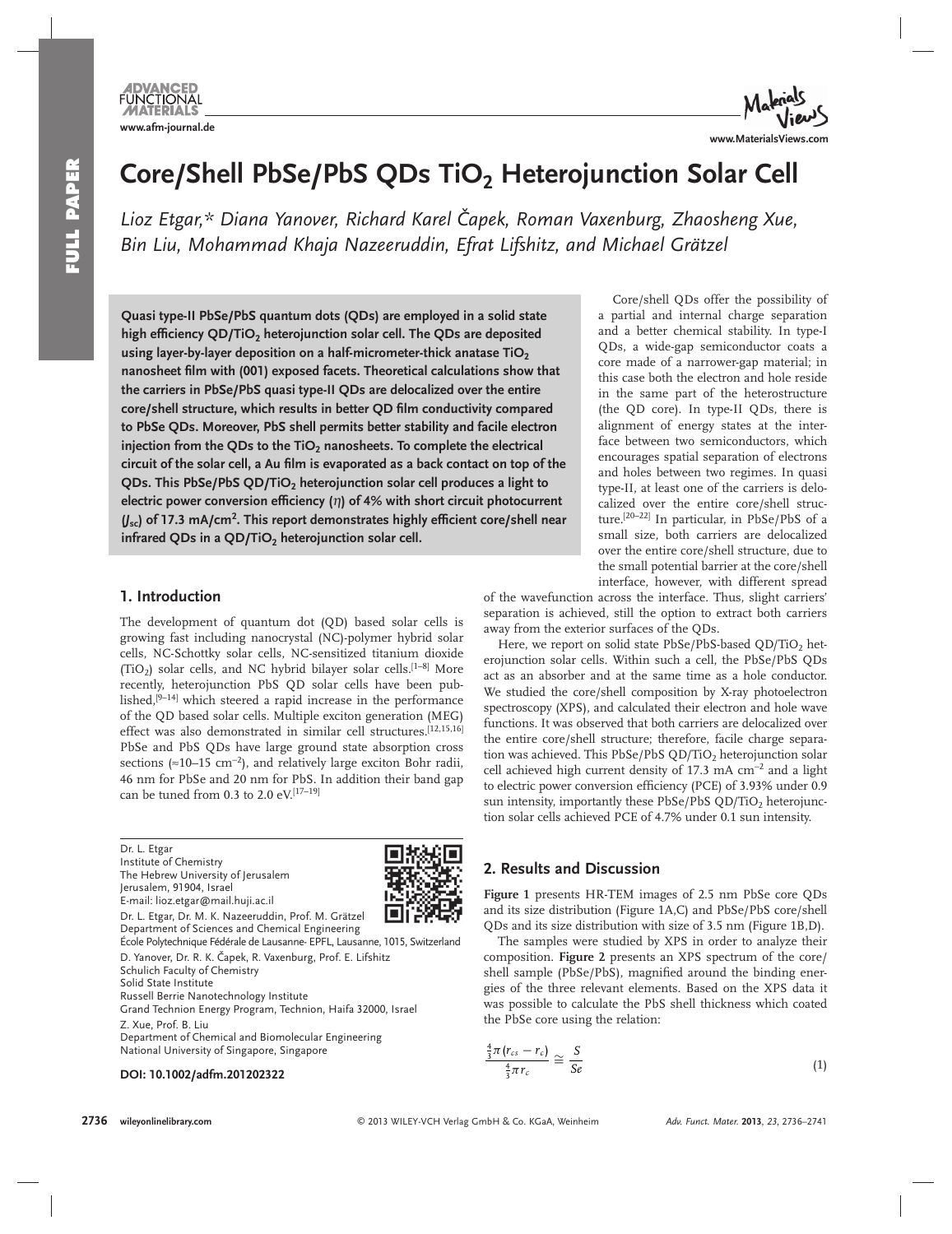**FUNCTIONAL www.afm-journal.de**



# Core/Shell PbSe/PbS QDs TiO<sub>2</sub> Heterojunction Solar Cell

Lioz Etgar,\* Diana Yanover, Richard Karel Čapek, Roman Vaxenburg, Zhaosheng Xue,  *Bin Liu , Mohammad Khaja Nazeeruddin , Efrat Lifshitz , and Michael Grätzel* 

 **Quasi type-II PbSe/PbS quantum dots (QDs) are employed in a solid state**  high efficiency QD/TiO<sub>2</sub> heterojunction solar cell. The QDs are deposited using layer-by-layer deposition on a half-micrometer-thick anatase TiO<sub>2</sub> nanosheet film with (001) exposed facets. Theoretical calculations show that **the carriers in PbSe/PbS quasi type-II QDs are delocalized over the entire**  core/shell structure, which results in better QD film conductivity compared **to PbSe QDs. Moreover, PbS shell permits better stability and facile electron**  injection from the QDs to the TiO<sub>2</sub> nanosheets. To complete the electrical circuit of the solar cell, a Au film is evaporated as a back contact on top of the **QDs. This PbSe/PbS QD/TiO<sub>2</sub> heterojunction solar cell produces a light to electric power conversion efficiency** (η) of 4% with short circuit photocurrent  $(y_{sc})$  of 17.3 mA/cm<sup>2</sup>. This report demonstrates highly efficient core/shell near infrared QDs in a QD/TiO<sub>2</sub> heterojunction solar cell.

#### **1. Introduction**

 The development of quantum dot (QD) based solar cells is growing fast including nanocrystal (NC)-polymer hybrid solar cells, NC-Schottky solar cells, NC-sensitized titanium dioxide (TiO<sub>2</sub>) solar cells, and NC hybrid bilayer solar cells.<sup>[1-8]</sup> More recently, heterojunction PbS QD solar cells have been published,<sup>[9-14]</sup> which steered a rapid increase in the performance of the QD based solar cells. Multiple exciton generation (MEG) effect was also demonstrated in similar cell structures.<sup>[12,15,16]</sup> PbSe and PbS QDs have large ground state absorption cross sections ( $\approx$ 10–15 cm<sup>-2</sup>), and relatively large exciton Bohr radii, 46 nm for PbSe and 20 nm for PbS. In addition their band gap can be tuned from 0.3 to 2.0 eV.  $[17-19]$ 

 Dr. L. Etgar Institute of Chemistry The Hebrew University of Jerusalem Jerusalem, 91904, Israel E-mail: lioz.etgar@mail.huji.ac.il



 Dr. L. Etgar, Dr. M. K. Nazeeruddin, Prof. M. Grätzel Department of Sciences and Chemical Engineering École Polytechnique Fédérale de Lausanne- EPFL, Lausanne, 1015, Switzerland D. Yanover, Dr. R. K. Čapek, R. Vaxenburg, Prof. E. Lifshitz

Schulich Faculty of Chemistry Solid State Institute Russell Berrie Nanotechnology Institute Grand Technion Energy Program, Technion, Haifa 32000, Israel

 Z. Xue, Prof. B. Liu Department of Chemical and Biomolecular Engineering National University of Singapore, Singapore

#### **DOI: 10.1002/adfm.201202322**

 Core/shell QDs offer the possibility of a partial and internal charge separation and a better chemical stability. In type-I QDs, a wide-gap semiconductor coats a core made of a narrower-gap material; in this case both the electron and hole reside in the same part of the heterostructure (the QD core). In type-II QDs, there is alignment of energy states at the interface between two semiconductors, which encourages spatial separation of electrons and holes between two regimes. In quasi type-II, at least one of the carriers is delocalized over the entire core/shell structure.<sup>[20–22]</sup> In particular, in PbSe/PbS of a small size, both carriers are delocalized over the entire core/shell structure, due to the small potential barrier at the core/shell interface, however, with different spread

of the wavefunction across the interface. Thus, slight carriers' separation is achieved, still the option to extract both carriers away from the exterior surfaces of the QDs.

Here, we report on solid state PbSe/PbS-based QD/TiO2 heterojunction solar cells. Within such a cell, the PbSe/PbS QDs act as an absorber and at the same time as a hole conductor. We studied the core/shell composition by X-ray photoelectron spectroscopy (XPS), and calculated their electron and hole wave functions. It was observed that both carriers are delocalized over the entire core/shell structure; therefore, facile charge separation was achieved. This PbSe/PbS QD/TiO<sub>2</sub> heterojunction solar cell achieved high current density of 17.3 mA cm<sup>-2</sup> and a light to electric power conversion efficiency (PCE) of 3.93% under 0.9 sun intensity, importantly these PbSe/PbS OD/TiO<sub>2</sub> heterojunction solar cells achieved PCE of 4.7% under 0.1 sun intensity.

## **2. Results and Discussion**

**Figure 1** presents HR-TEM images of 2.5 nm PbSe core QDs and its size distribution (Figure 1A,C) and PbSe/PbS core/shell QDs and its size distribution with size of 3.5 nm (Figure 1B,D).

 The samples were studied by XPS in order to analyze their composition. **Figure 2** presents an XPS spectrum of the core/ shell sample (PbSe/PbS), magnified around the binding energies of the three relevant elements. Based on the XPS data it was possible to calculate the PbS shell thickness which coated the PbSe core using the relation:

$$
\frac{\frac{4}{3}\pi (r_{cs} - r_c)}{\frac{4}{3}\pi r_c} \cong \frac{S}{Se}
$$
\n(1)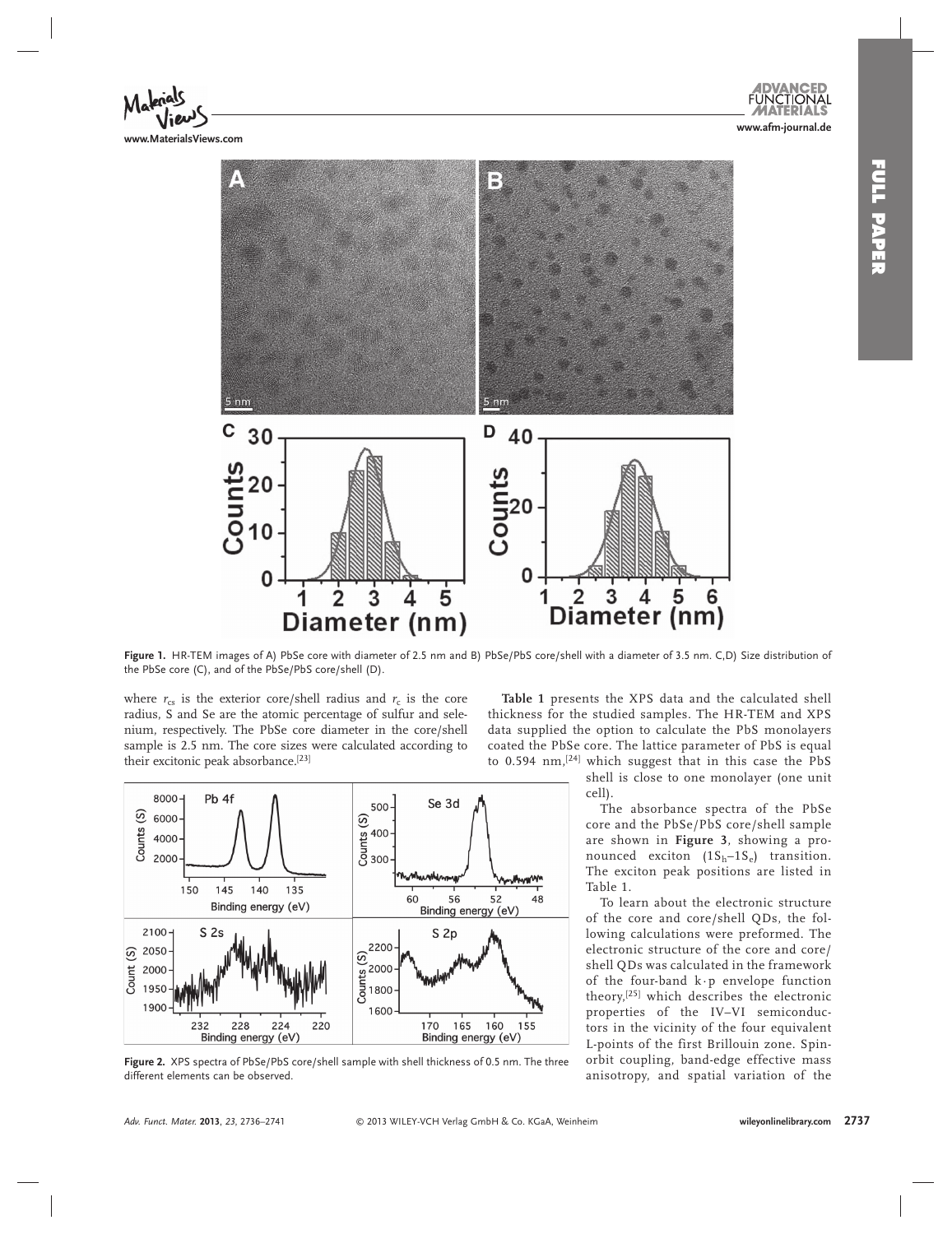**www.afm-journal.de**



**www.MaterialsViews.com**



 **Figure 1 .** HR-TEM images of A) PbSe core with diameter of 2.5 nm and B) PbSe/PbS core/shell with a diameter of 3.5 nm. C,D) Size distribution of the PbSe core (C), and of the PbSe/PbS core/shell (D).

where  $r_{cs}$  is the exterior core/shell radius and  $r_c$  is the core radius, S and Se are the atomic percentage of sulfur and selenium, respectively. The PbSe core diameter in the core/shell sample is 2.5 nm. The core sizes were calculated according to their excitonic peak absorbance.<sup>[23]</sup>

**Table 1** presents the XPS data and the calculated shell thickness for the studied samples. The HR-TEM and XPS data supplied the option to calculate the PbS monolayers coated the PbSe core. The lattice parameter of PbS is equal to 0.594 nm,<sup>[24]</sup> which suggest that in this case the PbS

> shell is close to one monolayer (one unit cell).

 The absorbance spectra of the PbSe core and the PbSe/PbS core/shell sample are shown in **Figure 3** , showing a pronounced exciton  $(1S_h - 1S_e)$  transition. The exciton peak positions are listed in Table 1 .

 To learn about the electronic structure of the core and core/shell QDs, the following calculations were preformed. The electronic structure of the core and core/ shell QDs was calculated in the framework of the four-band  $k \cdot p$  envelope function theory, [25] which describes the electronic properties of the IV–VI semiconductors in the vicinity of the four equivalent L-points of the first Brillouin zone. Spinorbit coupling, band-edge effective mass anisotropy, and spatial variation of the



Figure 2. XPS spectra of PbSe/PbS core/shell sample with shell thickness of 0.5 nm. The three different elements can be observed.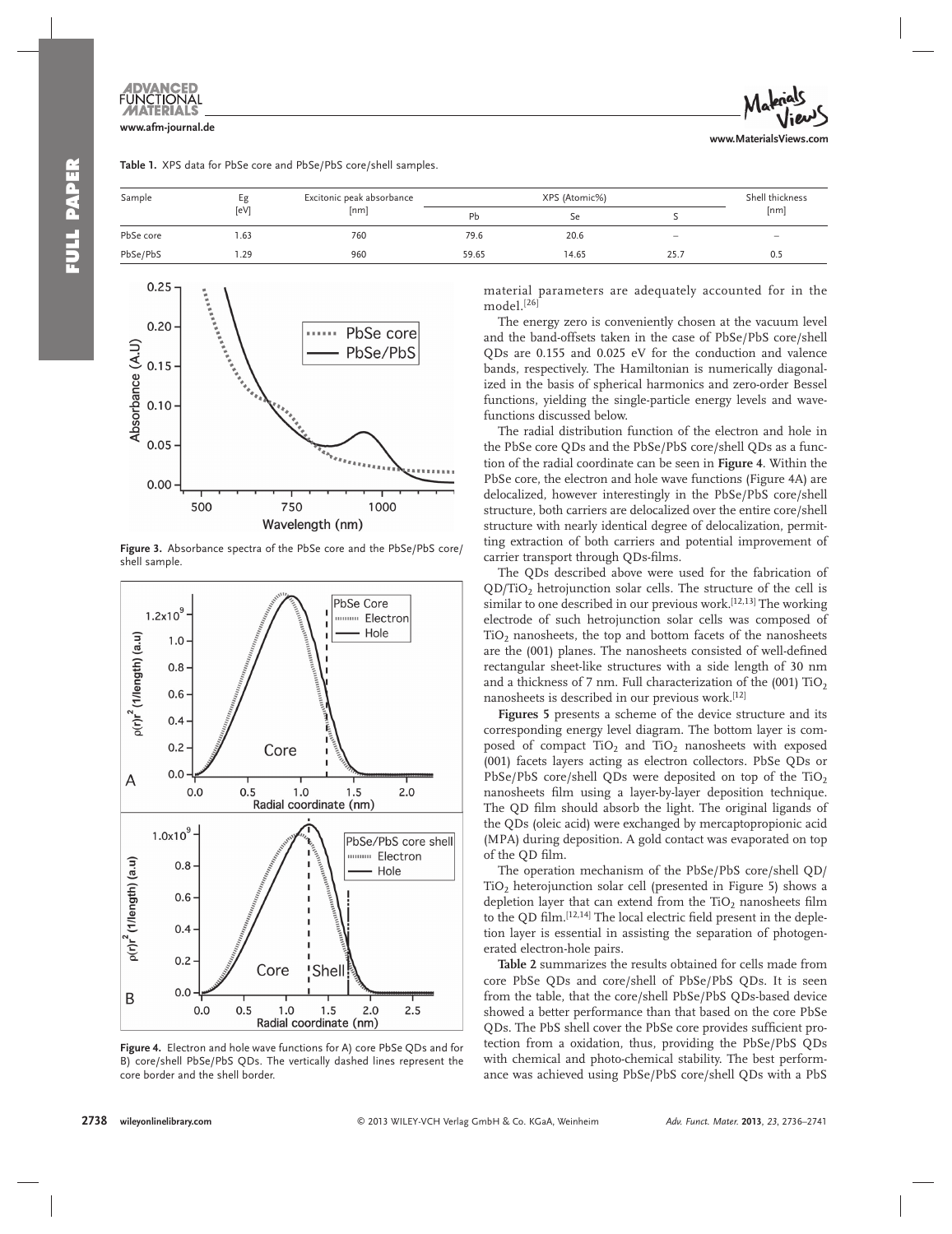# **www.afm-journal.de**

|  |  |  |  |  | Table 1. XPS data for PbSe core and PbSe/PbS core/shell samples. |
|--|--|--|--|--|------------------------------------------------------------------|
|--|--|--|--|--|------------------------------------------------------------------|



| Sample    | Еg   | Excitonic peak absorbance | XPS (Atomic%) |       |                          | Shell thickness |
|-----------|------|---------------------------|---------------|-------|--------------------------|-----------------|
|           | [eV] | [nm]                      | Pb            | Se    |                          | [nm]            |
| PbSe core | 1.63 | 760                       | 79.6          | 20.6  | $\overline{\phantom{m}}$ | $-$             |
| PbSe/PbS  | .29  | 960                       | 59.65         | 14.65 | 25.                      | 0.5             |



Figure 3. Absorbance spectra of the PbSe core and the PbSe/PbS core/ shell sample.



**Figure 4.** Electron and hole wave functions for A) core PbSe QDs and for B) core/shell PbSe/PbS QDs. The vertically dashed lines represent the core border and the shell border.

material parameters are adequately accounted for in the model. [26]

 The energy zero is conveniently chosen at the vacuum level and the band-offsets taken in the case of PbSe/PbS core/shell QDs are 0.155 and 0.025 eV for the conduction and valence bands, respectively. The Hamiltonian is numerically diagonalized in the basis of spherical harmonics and zero-order Bessel functions, yielding the single-particle energy levels and wavefunctions discussed below.

 The radial distribution function of the electron and hole in the PbSe core QDs and the PbSe/PbS core/shell QDs as a function of the radial coordinate can be seen in **Figure 4** . Within the PbSe core, the electron and hole wave functions (Figure 4A) are delocalized, however interestingly in the PbSe/PbS core/shell structure, both carriers are delocalized over the entire core/shell structure with nearly identical degree of delocalization, permitting extraction of both carriers and potential improvement of carrier transport through QDs-films.

 The QDs described above were used for the fabrication of  $QD/TiO<sub>2</sub>$  hetrojunction solar cells. The structure of the cell is similar to one described in our previous work.<sup>[12,13]</sup> The working electrode of such hetrojunction solar cells was composed of  $TiO<sub>2</sub>$  nanosheets, the top and bottom facets of the nanosheets are the (001) planes. The nanosheets consisted of well-defined rectangular sheet-like structures with a side length of 30 nm and a thickness of 7 nm. Full characterization of the  $(001)$  TiO<sub>2</sub> nanosheets is described in our previous work.<sup>[12]</sup>

**Figures 5** presents a scheme of the device structure and its corresponding energy level diagram. The bottom layer is composed of compact  $TiO<sub>2</sub>$  and  $TiO<sub>2</sub>$  nanosheets with exposed (001) facets layers acting as electron collectors. PbSe QDs or PbSe/PbS core/shell QDs were deposited on top of the  $TiO<sub>2</sub>$ nanosheets film using a layer-by-layer deposition technique. The QD film should absorb the light. The original ligands of the QDs (oleic acid) were exchanged by mercaptopropionic acid (MPA) during deposition. A gold contact was evaporated on top of the OD film.

 The operation mechanism of the PbSe/PbS core/shell QD/  $TiO<sub>2</sub>$  heterojunction solar cell (presented in Figure 5) shows a depletion layer that can extend from the TiO<sub>2</sub> nanosheets film to the QD film.<sup>[12,14]</sup> The local electric field present in the depletion layer is essential in assisting the separation of photogenerated electron-hole pairs.

**Table 2** summarizes the results obtained for cells made from core PbSe QDs and core/shell of PbSe/PbS QDs. It is seen from the table, that the core/shell PbSe/PbS QDs-based device showed a better performance than that based on the core PbSe QDs. The PbS shell cover the PbSe core provides sufficient protection from a oxidation, thus, providing the PbSe/PbS QDs with chemical and photo-chemical stability. The best performance was achieved using PbSe/PbS core/shell QDs with a PbS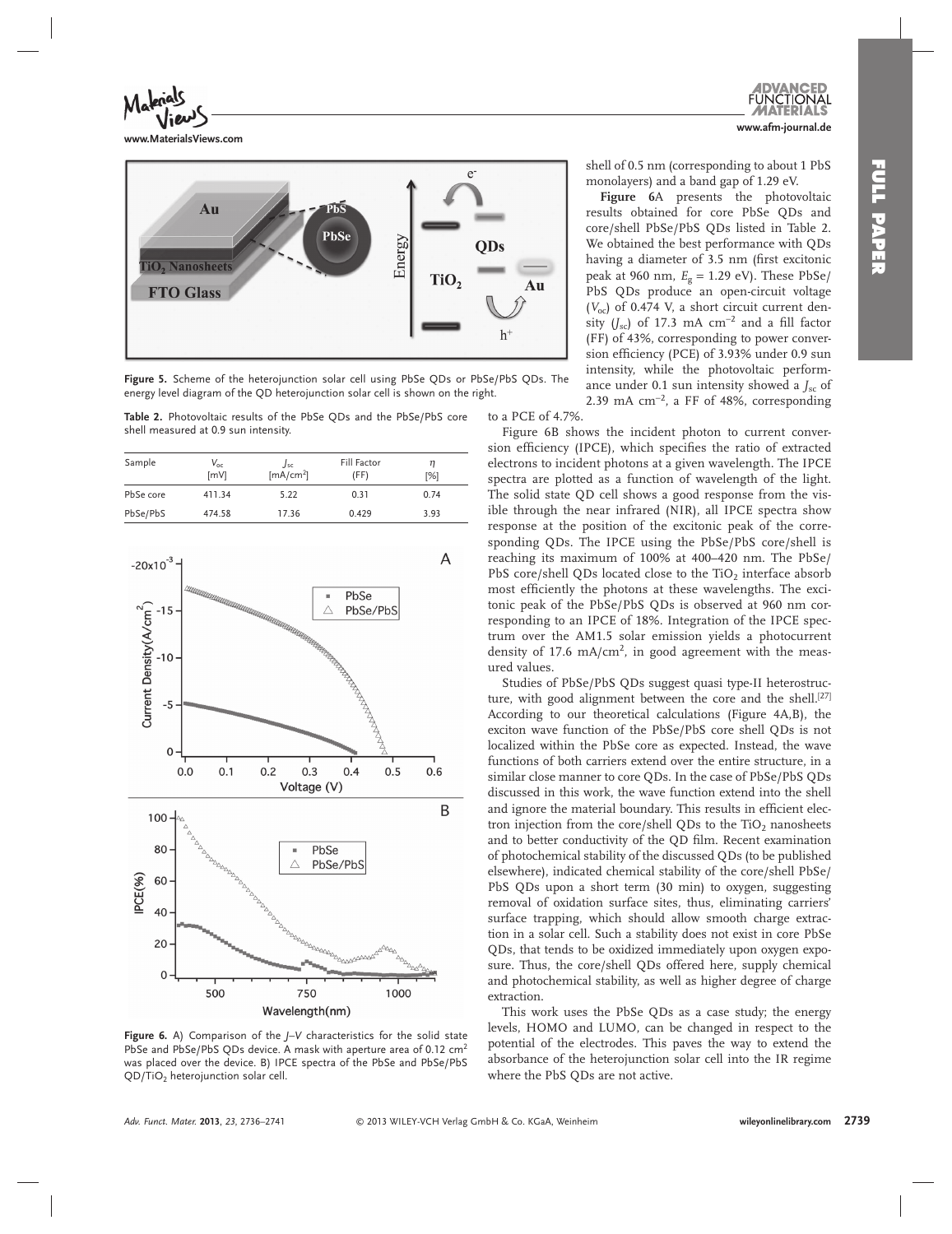**www.MaterialsViews.com**



Figure 5. Scheme of the heterojunction solar cell using PbSe QDs or PbSe/PbS QDs. The energy level diagram of the QD heterojunction solar cell is shown on the right.

 **Table 2.** Photovoltaic results of the PbSe QDs and the PbSe/PbS core shell measured at 0.9 sun intensity.

| Sample    | $V_{\rm oc}$<br><b>ImVI</b> | Jsc<br>[mA/cm <sup>2</sup> ] | Fill Factor<br>(FF) | n<br>[%] |
|-----------|-----------------------------|------------------------------|---------------------|----------|
| PbSe core | 411.34                      | 5.22                         | 0.31                | 0.74     |
| PbSe/PbS  | 474.58                      | 17.36                        | 0.429               | 3.93     |



**Figure 6.** A) Comparison of the *J*-*V* characteristics for the solid state PbSe and PbSe/PbS QDs device. A mask with aperture area of 0.12 cm<sup>2</sup> was placed over the device. B) IPCE spectra of the PbSe and PbSe/PbS QD/TiO<sub>2</sub> heterojunction solar cell.

shell of 0.5 nm (corresponding to about 1 PbS monolayers) and a band gap of 1.29 eV.

Figure 6A presents the photovoltaic results obtained for core PbSe QDs and core/shell PbSe/PbS QDs listed in Table 2. We obtained the best performance with QDs having a diameter of 3.5 nm (first excitonic peak at 960 nm, *E*g = 1.29 eV). These PbSe/ PbS QDs produce an open-circuit voltage  $(V_{oc})$  of 0.474 V, a short circuit current density  $(J_{\rm sc})$  of 17.3 mA cm<sup>-2</sup> and a fill factor (FF) of 43%, corresponding to power conversion efficiency (PCE) of 3.93% under 0.9 sun intensity, while the photovoltaic performance under 0.1 sun intensity showed a  $J_{\rm sc}$  of 2.39 mA  $\text{cm}^{-2}$ , a FF of 48%, corresponding

to a PCE of 4.7%

Figure 6B shows the incident photon to current conversion efficiency (IPCE), which specifies the ratio of extracted electrons to incident photons at a given wavelength. The IPCE spectra are plotted as a function of wavelength of the light. The solid state QD cell shows a good response from the visible through the near infrared (NIR), all IPCE spectra show response at the position of the excitonic peak of the corresponding QDs. The IPCE using the PbSe/PbS core/shell is reaching its maximum of 100% at 400–420 nm. The PbSe/ PbS core/shell QDs located close to the  $TiO<sub>2</sub>$  interface absorb most efficiently the photons at these wavelengths. The excitonic peak of the PbSe/PbS QDs is observed at 960 nm corresponding to an IPCE of 18%. Integration of the IPCE spectrum over the AM1.5 solar emission yields a photocurrent density of 17.6 mA/ $\text{cm}^2$ , in good agreement with the measured values.

 Studies of PbSe/PbS QDs suggest quasi type-II heterostructure, with good alignment between the core and the shell.<sup>[27]</sup> According to our theoretical calculations (Figure 4A,B), the exciton wave function of the PbSe/PbS core shell QDs is not localized within the PbSe core as expected. Instead, the wave functions of both carriers extend over the entire structure, in a similar close manner to core QDs. In the case of PbSe/PbS QDs discussed in this work, the wave function extend into the shell and ignore the material boundary. This results in efficient electron injection from the core/shell QDs to the  $TiO<sub>2</sub>$  nanosheets and to better conductivity of the OD film. Recent examination of photochemical stability of the discussed QDs (to be published elsewhere), indicated chemical stability of the core/shell PbSe/ PbS QDs upon a short term (30 min) to oxygen, suggesting removal of oxidation surface sites, thus, eliminating carriers' surface trapping, which should allow smooth charge extraction in a solar cell. Such a stability does not exist in core PbSe QDs, that tends to be oxidized immediately upon oxygen exposure. Thus, the core/shell QDs offered here, supply chemical and photochemical stability, as well as higher degree of charge extraction.

 This work uses the PbSe QDs as a case study; the energy levels, HOMO and LUMO, can be changed in respect to the potential of the electrodes. This paves the way to extend the absorbance of the heterojunction solar cell into the IR regime where the PbS QDs are not active.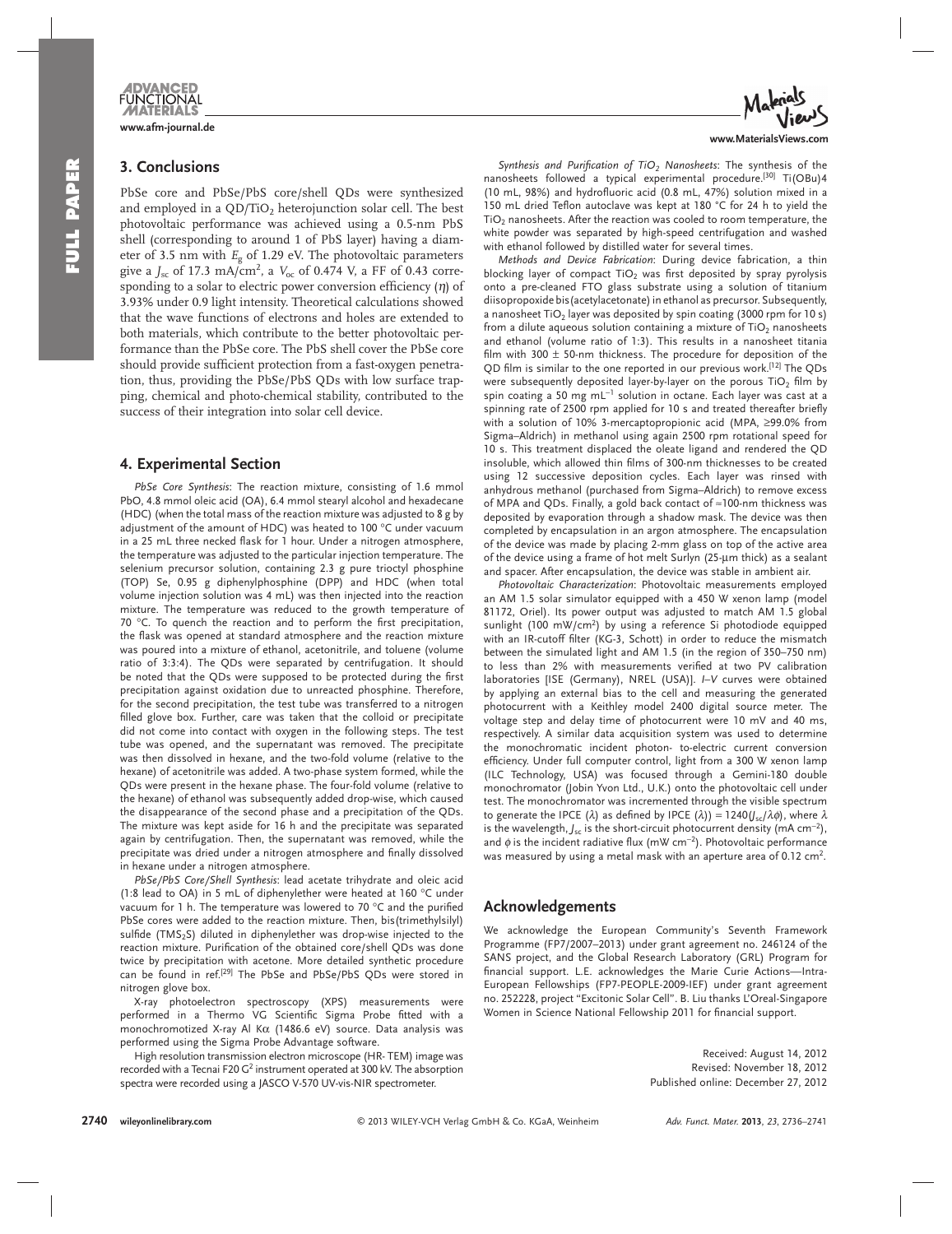

## **3. Conclusions**

 PbSe core and PbSe/PbS core/shell QDs were synthesized and employed in a  $QD/TiO<sub>2</sub>$  heterojunction solar cell. The best photo voltaic performance was achieved using a 0.5-nm PbS shell (corresponding to around 1 of PbS layer) having a diameter of 3.5 nm with *E*g of 1.29 eV. The photovoltaic parameters give a *J<sub>sc</sub>* of 17.3 mA/cm<sup>2</sup>, a *V*<sub>oc</sub> of 0.474 V, a FF of 0.43 corresponding to a solar to electric power conversion efficiency  $(\eta)$  of 3.93% under 0.9 light intensity. Theoretical calculations showed that the wave functions of electrons and holes are extended to both materials, which contribute to the better photovoltaic performance than the PbSe core. The PbS shell cover the PbSe core should provide sufficient protection from a fast-oxygen penetration, thus, providing the PbSe/PbS QDs with low surface trapping, chemical and photo-chemical stability, contributed to the success of their integration into solar cell device.

#### **4. Experimental Section**

PbSe Core Synthesis: The reaction mixture, consisting of 1.6 mmol PbO, 4.8 mmol oleic acid (OA), 6.4 mmol stearyl alcohol and hexadecane (HDC) (when the total mass of the reaction mixture was adjusted to 8 g by adjustment of the amount of HDC) was heated to 100 °C under vacuum in a 25 mL three necked flask for 1 hour. Under a nitrogen atmosphere, the temperature was adjusted to the particular injection temperature. The selenium precursor solution, containing 2.3 g pure trioctyl phosphine (TOP) Se, 0.95 g diphenylphosphine (DPP) and HDC (when total volume injection solution was 4 mL) was then injected into the reaction mixture. The temperature was reduced to the growth temperature of 70  $^{\circ}$ C. To quench the reaction and to perform the first precipitation, the flask was opened at standard atmosphere and the reaction mixture was poured into a mixture of ethanol, acetonitrile, and toluene (volume ratio of 3:3:4). The QDs were separated by centrifugation. It should be noted that the QDs were supposed to be protected during the first precipitation against oxidation due to unreacted phosphine. Therefore, for the second precipitation, the test tube was transferred to a nitrogen filled glove box. Further, care was taken that the colloid or precipitate did not come into contact with oxygen in the following steps. The test tube was opened, and the supernatant was removed. The precipitate was then dissolved in hexane, and the two-fold volume (relative to the hexane) of acetonitrile was added. A two-phase system formed, while the QDs were present in the hexane phase. The four-fold volume (relative to the hexane) of ethanol was subsequently added drop-wise, which caused the disappearance of the second phase and a precipitation of the QDs. The mixture was kept aside for 16 h and the precipitate was separated again by centrifugation. Then, the supernatant was removed, while the precipitate was dried under a nitrogen atmosphere and finally dissolved in hexane under a nitrogen atmosphere.

*PbSe/PbS Core/Shell Synthesis* : lead acetate trihydrate and oleic acid (1:8 lead to OA) in 5 mL of diphenylether were heated at 160 °C under vacuum for 1 h. The temperature was lowered to 70  $^{\circ}$ C and the purified PbSe cores were added to the reaction mixture. Then, bis(trimethylsilyl) sulfide (TMS<sub>2</sub>S) diluted in diphenylether was drop-wise injected to the reaction mixture. Purification of the obtained core/shell QDs was done twice by precipitation with acetone. More detailed synthetic procedure can be found in ref.<sup>[29]</sup> The PbSe and PbSe/PbS QDs were stored in nitrogen glove box.

 X-ray photoelectron spectroscopy (XPS) measurements were performed in a Thermo VG Scientific Sigma Probe fitted with a monochromotized X-ray Al Kα (1486.6 eV) source. Data analysis was performed using the Sigma Probe Advantage software.

 High resolution transmission electron microscope (HR- TEM) image was recorded with a Tecnai F20  $G^2$  instrument operated at 300 kV. The absorption spectra were recorded using a JASCO V-570 UV-vis-NIR spectrometer.



**www.MaterialsViews.com**

Synthesis and Purification of TiO<sub>2</sub> Nanosheets: The synthesis of the nanosheets followed a typical experimental procedure.<sup>[30]</sup> Ti(OBu)4  $(10 \text{ mL}, 98%)$  and hydrofluoric acid  $(0.8 \text{ mL}, 47%)$  solution mixed in a 150 mL dried Teflon autoclave was kept at 180 °C for 24 h to yield the  $TiO<sub>2</sub>$  nanosheets. After the reaction was cooled to room temperature, the white powder was separated by high-speed centrifugation and washed with ethanol followed by distilled water for several times.

*Methods and Device Fabrication*: During device fabrication, a thin blocking layer of compact  $TiO<sub>2</sub>$  was first deposited by spray pyrolysis onto a pre-cleaned FTO glass substrate using a solution of titanium diisopropoxide bis(acetylacetonate) in ethanol as precursor. Subsequently, a nanosheet TiO<sub>2</sub> layer was deposited by spin coating (3000 rpm for 10 s) from a dilute aqueous solution containing a mixture of  $TiO<sub>2</sub>$  nanosheets and ethanol (volume ratio of 1:3). This results in a nanosheet titania film with 300  $\pm$  50-nm thickness. The procedure for deposition of the QD film is similar to the one reported in our previous work.<sup>[12]</sup> The QDs were subsequently deposited layer-by-layer on the porous  $TiO<sub>2</sub>$  film by spin coating a 50 mg mL<sup>-1</sup> solution in octane. Each layer was cast at a spinning rate of 2500 rpm applied for 10 s and treated thereafter briefly with a solution of 10% 3-mercaptopropionic acid (MPA, ≥99.0% from Sigma–Aldrich) in methanol using again 2500 rpm rotational speed for 10 s. This treatment displaced the oleate ligand and rendered the QD insoluble, which allowed thin films of 300-nm thicknesses to be created using 12 successive deposition cycles. Each layer was rinsed with anhydrous methanol (purchased from Sigma–Aldrich) to remove excess of MPA and QDs. Finally, a gold back contact of ≈ 100-nm thickness was deposited by evaporation through a shadow mask. The device was then completed by encapsulation in an argon atmosphere. The encapsulation of the device was made by placing 2-mm glass on top of the active area of the device using a frame of hot melt Surlyn (25-μm thick) as a sealant and spacer. After encapsulation, the device was stable in ambient air.

Photovoltaic Characterization: Photovoltaic measurements employed an AM 1.5 solar simulator equipped with a 450 W xenon lamp (model 81172, Oriel). Its power output was adjusted to match AM 1.5 global sunlight (100 mW/cm<sup>2</sup>) by using a reference Si photodiode equipped with an IR-cutoff filter (KG-3, Schott) in order to reduce the mismatch between the simulated light and AM 1.5 (in the region of 350–750 nm) to less than 2% with measurements verified at two PV calibration laboratories [ISE (Germany), NREL (USA)]. *I-V* curves were obtained by applying an external bias to the cell and measuring the generated photocurrent with a Keithley model 2400 digital source meter. The voltage step and delay time of photocurrent were 10 mV and 40 ms, respectively. A similar data acquisition system was used to determine the monochromatic incident photon- to-electric current conversion efficiency. Under full computer control, light from a 300 W xenon lamp (ILC Technology, USA) was focused through a Gemini-180 double monochromator (Jobin Yvon Ltd., U.K.) onto the photovoltaic cell under test. The monochromator was incremented through the visible spectrum to generate the IPCE (λ) as defined by IPCE (λ)) =  $1240(J<sub>sc</sub>/λφ)$ , where  $λ$ is the wavelength,  $J_{\rm sc}$  is the short-circuit photocurrent density (mA cm<sup>-2</sup>), and  $\phi$  is the incident radiative flux (mW cm<sup>-2</sup>). Photovoltaic performance was measured by using a metal mask with an aperture area of 0.12  $\textsf{cm}^2$ .

#### **Acknowledgements**

 We acknowledge the European Community's Seventh Framework Programme (FP7/2007–2013) under grant agreement no. 246124 of the SANS project, and the Global Research Laboratory (GRL) Program for financial support. L.E. acknowledges the Marie Curie Actions-Intra-European Fellowships (FP7-PEOPLE-2009-IEF) under grant agreement no. 252228, project "Excitonic Solar Cell". B. Liu thanks L'Oreal-Singapore Women in Science National Fellowship 2011 for financial support.

> Received: August 14, 2012 Revised: November 18, 2012 Published online: December 27, 2012